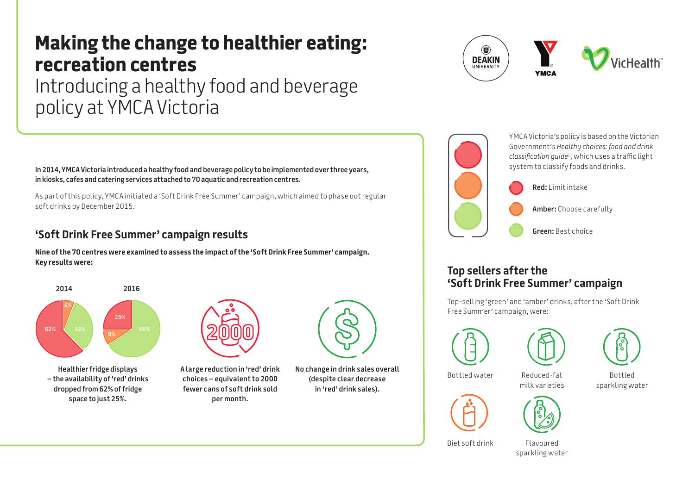# **Making the change to healthier eating: recreation centres** Introducing a healthy food and beverage policy at YMCA Victoria

**In 2014, YMCA Victoria introduced a healthy food and beverage policy to be implemented over three years, in kiosks, cafes and catering services attached to 70 aquatic and recreation centres.** 

As part of this policy, YMCA initiated a 'Soft Drink Free Summer' campaign, which aimed to phase out regular soft drinks by December 2015.

## **'Soft Drink Free Summer' campaign results**

**Nine of the 70 centres were examined to assess the impact of the 'Soft Drink Free Summer' campaign. Key results were:**



**Healthier fridge displays – the availability of 'red' drinks dropped from 62% of fridge space to just 25%.**



**A large reduction in 'red' drink choices – equivalent to 2000 fewer cans of soft drink sold per month.**



**No change in drink sales overall (despite clear decrease in 'red' drink sales).**





YMCA Victoria's policy is based on the Victorian Government's *Healthy choices: food and drink classification guide1*, which uses a traffic light system to classify foods and drinks.

**Red:** Limit intake

**Amber:** Choose carefully

**Green:** Best choice

### **Top sellers after the 'Soft Drink Free Summer' campaign**

Top-selling 'green' and 'amber' drinks, after the 'Soft Drink Free Summer' campaign, were:







Reduced-fat milk varieties Bottled water **Bottled** Reduced-fat **Bottled** 

sparkling water



Diet soft drink Flavoured

sparkling water